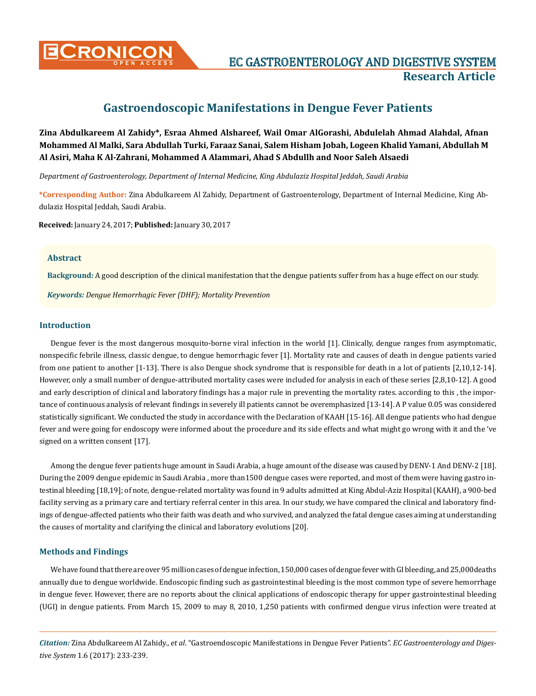

# **Gastroendoscopic Manifestations in Dengue Fever Patients**

**Zina Abdulkareem Al Zahidy\*, Esraa Ahmed Alshareef, Wail Omar AlGorashi, Abdulelah Ahmad Alahdal, Afnan Mohammed Al Malki, Sara Abdullah Turki, Faraaz Sanai, Salem Hisham Jobah, Logeen Khalid Yamani, Abdullah M Al Asiri, Maha K Al-Zahrani, Mohammed A Alammari, Ahad S Abdullh and Noor Saleh Alsaedi**

*Department of Gastroenterology, Department of Internal Medicine, King Abdulaziz Hospital Jeddah, Saudi Arabia* 

**\*Corresponding Author:** Zina Abdulkareem Al Zahidy, Department of Gastroenterology, Department of Internal Medicine, King Abdulaziz Hospital Jeddah, Saudi Arabia.

**Received:** January 24, 2017; **Published:** January 30, 2017

#### **Abstract**

**Background:** A good description of the clinical manifestation that the dengue patients suffer from has a huge effect on our study.

*Keywords: Dengue Hemorrhagic Fever (DHF); Mortality Prevention*

## **Introduction**

Dengue fever is the most dangerous mosquito-borne viral infection in the world [1]. Clinically, dengue ranges from asymptomatic, nonspecific febrile illness, classic dengue, to dengue hemorrhagic fever [1]. Mortality rate and causes of death in dengue patients varied from one patient to another [1-13]. There is also Dengue shock syndrome that is responsible for death in a lot of patients [2,10,12-14]. However, only a small number of dengue-attributed mortality cases were included for analysis in each of these series [2,8,10-12]. A good and early description of clinical and laboratory findings has a major rule in preventing the mortality rates. according to this , the importance of continuous analysis of relevant findings in severely ill patients cannot be overemphasized [13-14]. A P value 0.05 was considered statistically significant. We conducted the study in accordance with the Declaration of KAAH [15-16]. All dengue patients who had dengue fever and were going for endoscopy were informed about the procedure and its side effects and what might go wrong with it and the 've signed on a written consent [17].

Among the dengue fever patients huge amount in Saudi Arabia, a huge amount of the disease was caused by DENV-1 And DENV-2 [18]. During the 2009 dengue epidemic in Saudi Arabia , more than1500 dengue cases were reported, and most of them were having gastro intestinal bleeding [18,19]; of note, dengue-related mortality was found in 9 adults admitted at King Abdul-Aziz Hospital (KAAH), a 900-bed facility serving as a primary care and tertiary referral center in this area. In our study, we have compared the clinical and laboratory findings of dengue-affected patients who their faith was death and who survived, and analyzed the fatal dengue cases aiming at understanding the causes of mortality and clarifying the clinical and laboratory evolutions [20].

## **Methods and Findings**

We have found that there are over 95 million cases of dengue infection, 150,000 cases of dengue fever with GI bleeding, and 25,000deaths annually due to dengue worldwide. Endoscopic finding such as gastrointestinal bleeding is the most common type of severe hemorrhage in dengue fever. However, there are no reports about the clinical applications of endoscopic therapy for upper gastrointestinal bleeding (UGI) in dengue patients. From March 15, 2009 to may 8, 2010, 1,250 patients with confirmed dengue virus infection were treated at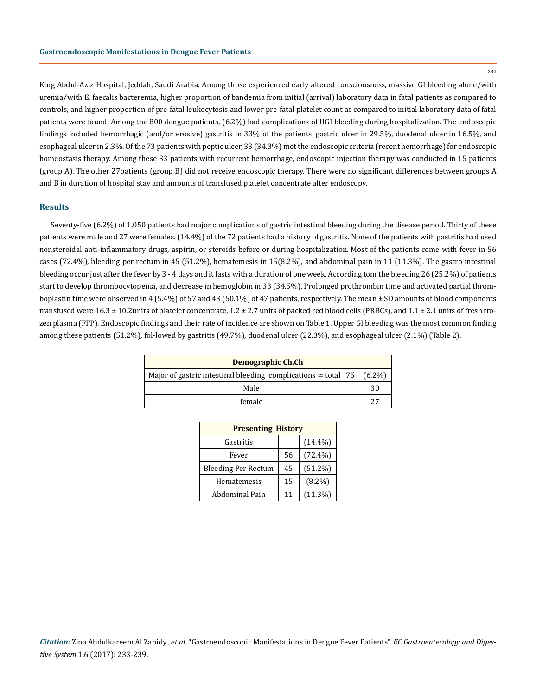$234$ 

King Abdul-Aziz Hospital, Jeddah, Saudi Arabia. Among those experienced early altered consciousness, massive GI bleeding alone/with uremia/with E. faecalis bacteremia, higher proportion of bandemia from initial (arrival) laboratory data in fatal patients as compared to controls, and higher proportion of pre-fatal leukocytosis and lower pre-fatal platelet count as compared to initial laboratory data of fatal patients were found. Among the 800 dengue patients, (6.2%) had complications of UGI bleeding during hospitalization. The endoscopic findings included hemorrhagic (and/or erosive) gastritis in 33% of the patients, gastric ulcer in 29.5%, duodenal ulcer in 16.5%, and esophageal ulcer in 2.3%. Of the 73 patients with peptic ulcer, 33 (34.3%) met the endoscopic criteria (recent hemorrhage) for endoscopic homeostasis therapy. Among these 33 patients with recurrent hemorrhage, endoscopic injection therapy was conducted in 15 patients (group A). The other 27patients (group B) did not receive endoscopic therapy. There were no significant differences between groups A and B in duration of hospital stay and amounts of transfused platelet concentrate after endoscopy.

#### **Results**

Seventy-five (6.2%) of 1,050 patients had major complications of gastric intestinal bleeding during the disease period. Thirty of these patients were male and 27 were females. (14.4%) of the 72 patients had a history of gastritis. None of the patients with gastritis had used nonsteroidal anti-inflammatory drugs, aspirin, or steroids before or during hospitalization. Most of the patients come with fever in 56 cases (72.4%), bleeding per rectum in 45 (51.2%), hematemesis in 15(8.2%), and abdominal pain in 11 (11.3%). The gastro intestinal bleeding occur just after the fever by 3 - 4 days and it lasts with a duration of one week. According tom the bleeding 26 (25.2%) of patients start to develop thrombocytopenia, and decrease in hemoglobin in 33 (34.5%). Prolonged prothrombin time and activated partial thromboplastin time were observed in 4 (5.4%) of 57 and 43 (50.1%) of 47 patients, respectively. The mean ± SD amounts of blood components transfused were  $16.3 \pm 10.2$ units of platelet concentrate,  $1.2 \pm 2.7$  units of packed red blood cells (PRBCs), and  $1.1 \pm 2.1$  units of fresh frozen plasma (FFP). Endoscopic findings and their rate of incidence are shown on Table 1. Upper GI bleeding was the most common finding among these patients (51.2%), fol-lowed by gastritis (49.7%), duodenal ulcer (22.3%), and esophageal ulcer (2.1%) (Table 2).

| Demographic Ch.Ch                                                           |    |  |
|-----------------------------------------------------------------------------|----|--|
| Major of gastric intestinal bleeding complications $\simeq$ total 75 (6.2%) |    |  |
| Male                                                                        |    |  |
| female                                                                      | つワ |  |

| <b>Presenting History</b>  |    |            |  |
|----------------------------|----|------------|--|
| Gastritis                  |    | $(14.4\%)$ |  |
| Fever                      | 56 | $(72.4\%)$ |  |
| <b>Bleeding Per Rectum</b> | 45 | $(51.2\%)$ |  |
| Hematemesis                | 15 | $(8.2\%)$  |  |
| Abdominal Pain             | 11 | $(11.3\%)$ |  |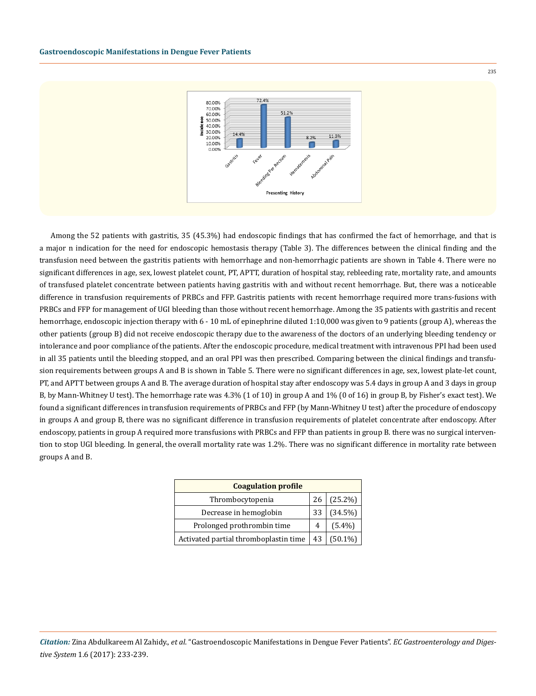

Among the 52 patients with gastritis, 35 (45.3%) had endoscopic findings that has confirmed the fact of hemorrhage, and that is a major n indication for the need for endoscopic hemostasis therapy (Table 3). The differences between the clinical finding and the transfusion need between the gastritis patients with hemorrhage and non-hemorrhagic patients are shown in Table 4. There were no significant differences in age, sex, lowest platelet count, PT, APTT, duration of hospital stay, rebleeding rate, mortality rate, and amounts of transfused platelet concentrate between patients having gastritis with and without recent hemorrhage. But, there was a noticeable difference in transfusion requirements of PRBCs and FFP. Gastritis patients with recent hemorrhage required more trans-fusions with PRBCs and FFP for management of UGI bleeding than those without recent hemorrhage. Among the 35 patients with gastritis and recent hemorrhage, endoscopic injection therapy with 6 - 10 mL of epinephrine diluted 1:10,000 was given to 9 patients (group A), whereas the other patients (group B) did not receive endoscopic therapy due to the awareness of the doctors of an underlying bleeding tendency or intolerance and poor compliance of the patients. After the endoscopic procedure, medical treatment with intravenous PPI had been used in all 35 patients until the bleeding stopped, and an oral PPI was then prescribed. Comparing between the clinical findings and transfusion requirements between groups A and B is shown in Table 5. There were no significant differences in age, sex, lowest plate-let count, PT, and APTT between groups A and B. The average duration of hospital stay after endoscopy was 5.4 days in group A and 3 days in group B, by Mann-Whitney U test). The hemorrhage rate was 4.3% (1 of 10) in group A and 1% (0 of 16) in group B, by Fisher's exact test). We found a significant differences in transfusion requirements of PRBCs and FFP (by Mann-Whitney U test) after the procedure of endoscopy in groups A and group B, there was no significant difference in transfusion requirements of platelet concentrate after endoscopy. After endoscopy, patients in group A required more transfusions with PRBCs and FFP than patients in group B. there was no surgical intervention to stop UGI bleeding. In general, the overall mortality rate was 1.2%. There was no significant difference in mortality rate between groups A and B.

| <b>Coagulation profile</b>            |    |            |  |
|---------------------------------------|----|------------|--|
| Thrombocytopenia                      | 26 | $(25.2\%)$ |  |
| Decrease in hemoglobin                | 33 | $(34.5\%)$ |  |
| Prolonged prothrombin time            |    | $(5.4\%)$  |  |
| Activated partial thromboplastin time | 43 | $(50.1\%)$ |  |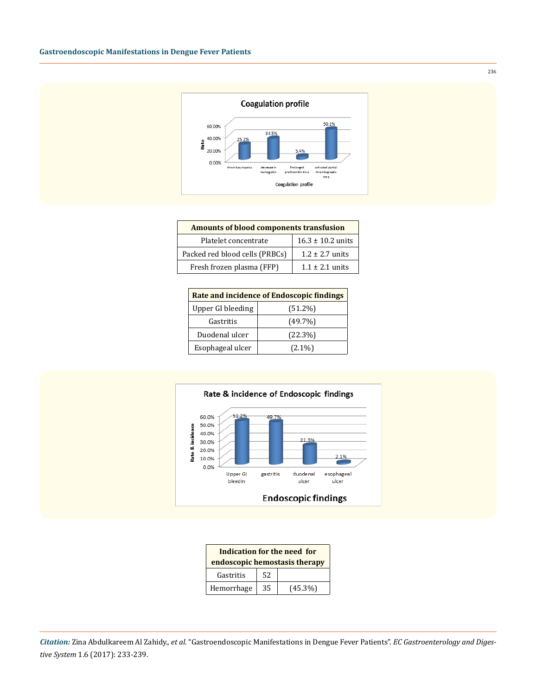

| Amounts of blood components transfusion |                       |  |
|-----------------------------------------|-----------------------|--|
| Platelet concentrate                    | $16.3 \pm 10.2$ units |  |
| Packed red blood cells (PRBCs)          | $1.2 \pm 2.7$ units   |  |
| Fresh frozen plasma (FFP)               | $1.1 + 2.1$ units     |  |

| Rate and incidence of Endoscopic findings |            |  |
|-------------------------------------------|------------|--|
| Upper GI bleeding                         | $(51.2\%)$ |  |
| Gastritis                                 | $(49.7\%)$ |  |
| Duodenal ulcer                            | $(22.3\%)$ |  |
| Esophageal ulcer                          | $(2.1\%)$  |  |



| Indication for the need for<br>endoscopic hemostasis therapy |    |            |
|--------------------------------------------------------------|----|------------|
| Gastritis                                                    | 52 |            |
| Hemorrhage                                                   | 35 | $(45.3\%)$ |

*Citation:* Zina Abdulkareem Al Zahidy., *et al*. "Gastroendoscopic Manifestations in Dengue Fever Patients". *EC Gastroenterology and Digestive System* 1.6 (2017): 233-239.

236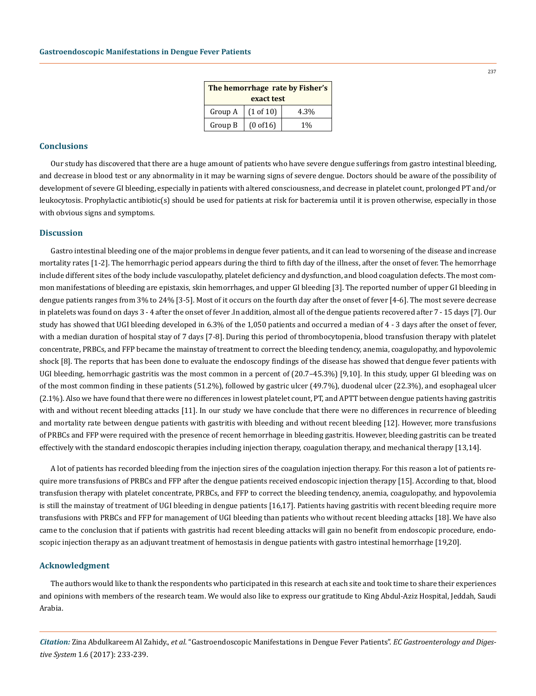| The hemorrhage rate by Fisher's |           |       |  |
|---------------------------------|-----------|-------|--|
| exact test                      |           |       |  |
| Group A                         | (1 of 10) | 4.3%  |  |
| Group B                         | (0 of 16) | $1\%$ |  |

## **Conclusions**

Our study has discovered that there are a huge amount of patients who have severe dengue sufferings from gastro intestinal bleeding, and decrease in blood test or any abnormality in it may be warning signs of severe dengue. Doctors should be aware of the possibility of development of severe GI bleeding, especially in patients with altered consciousness, and decrease in platelet count, prolonged PT and/or leukocytosis. Prophylactic antibiotic(s) should be used for patients at risk for bacteremia until it is proven otherwise, especially in those with obvious signs and symptoms.

### **Discussion**

Gastro intestinal bleeding one of the major problems in dengue fever patients, and it can lead to worsening of the disease and increase mortality rates [1-2]. The hemorrhagic period appears during the third to fifth day of the illness, after the onset of fever. The hemorrhage include different sites of the body include vasculopathy, platelet deficiency and dysfunction, and blood coagulation defects. The most common manifestations of bleeding are epistaxis, skin hemorrhages, and upper GI bleeding [3]. The reported number of upper GI bleeding in dengue patients ranges from 3% to 24% [3-5]. Most of it occurs on the fourth day after the onset of fever [4-6]. The most severe decrease in platelets was found on days 3 - 4 after the onset of fever .In addition, almost all of the dengue patients recovered after 7 - 15 days [7]. Our study has showed that UGI bleeding developed in 6.3% of the 1,050 patients and occurred a median of 4 - 3 days after the onset of fever, with a median duration of hospital stay of 7 days [7-8]. During this period of thrombocytopenia, blood transfusion therapy with platelet concentrate, PRBCs, and FFP became the mainstay of treatment to correct the bleeding tendency, anemia, coagulopathy, and hypovolemic shock [8]. The reports that has been done to evaluate the endoscopy findings of the disease has showed that dengue fever patients with UGI bleeding, hemorrhagic gastritis was the most common in a percent of (20.7–45.3%) [9,10]. In this study, upper GI bleeding was on of the most common finding in these patients (51.2%), followed by gastric ulcer (49.7%), duodenal ulcer (22.3%), and esophageal ulcer (2.1%). Also we have found that there were no differences in lowest platelet count, PT, and APTT between dengue patients having gastritis with and without recent bleeding attacks [11]. In our study we have conclude that there were no differences in recurrence of bleeding and mortality rate between dengue patients with gastritis with bleeding and without recent bleeding [12]. However, more transfusions of PRBCs and FFP were required with the presence of recent hemorrhage in bleeding gastritis. However, bleeding gastritis can be treated effectively with the standard endoscopic therapies including injection therapy, coagulation therapy, and mechanical therapy [13,14].

A lot of patients has recorded bleeding from the injection sires of the coagulation injection therapy. For this reason a lot of patients require more transfusions of PRBCs and FFP after the dengue patients received endoscopic injection therapy [15]. According to that, blood transfusion therapy with platelet concentrate, PRBCs, and FFP to correct the bleeding tendency, anemia, coagulopathy, and hypovolemia is still the mainstay of treatment of UGI bleeding in dengue patients [16,17]. Patients having gastritis with recent bleeding require more transfusions with PRBCs and FFP for management of UGI bleeding than patients who without recent bleeding attacks [18]. We have also came to the conclusion that if patients with gastritis had recent bleeding attacks will gain no benefit from endoscopic procedure, endoscopic injection therapy as an adjuvant treatment of hemostasis in dengue patients with gastro intestinal hemorrhage [19,20].

#### **Acknowledgment**

The authors would like to thank the respondents who participated in this research at each site and took time to share their experiences and opinions with members of the research team. We would also like to express our gratitude to King Abdul-Aziz Hospital, Jeddah, Saudi Arabia.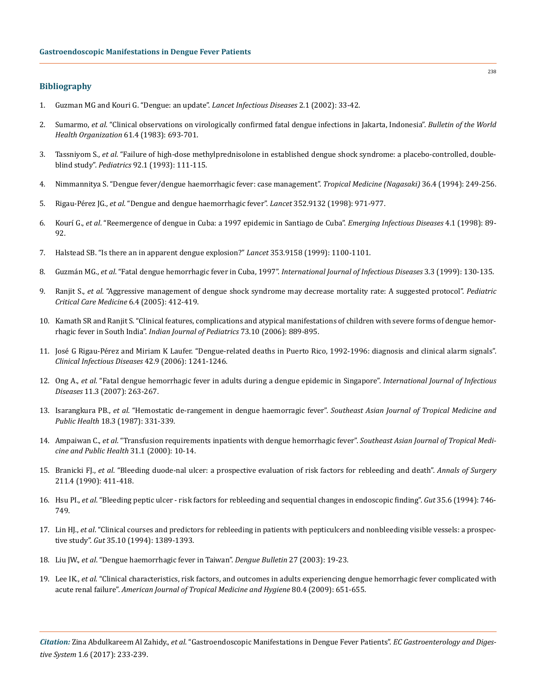## **Bibliography**

- 1. [Guzman MG and Kouri G. "Dengue: an update".](https://www.ncbi.nlm.nih.gov/pubmed/11892494) *Lancet Infectious Diseases* 2.1 (2002): 33-42.
- 2. Sumarmo, *et al*[. "Clinical observations on virologically confirmed fatal dengue infections in Jakarta, Indonesia".](https://www.ncbi.nlm.nih.gov/pubmed/6605216) *Bulletin of the World [Health Organization](https://www.ncbi.nlm.nih.gov/pubmed/6605216)* 61.4 (1983): 693-701.
- 3. Tassniyom S., *et al*[. "Failure of high-dose methylprednisolone in established dengue shock syndrome: a placebo-controlled, double](https://www.ncbi.nlm.nih.gov/pubmed/8516054)blind study". *Pediatrics* [92.1 \(1993\): 111-115.](https://www.ncbi.nlm.nih.gov/pubmed/8516054)
- 4. [Nimmannitya S. "Dengue fever/dengue haemorrhagic fever: case management".](http://naosite.lb.nagasaki-u.ac.jp/dspace/bitstream/10069/4697/1/tm36_04_18_t.pdf) *Tropical Medicine (Nagasaki)* 36.4 (1994): 249-256.
- 5. Rigau-Pérez JG., *et al*[. "Dengue and dengue haemorrhagic fever".](https://www.ncbi.nlm.nih.gov/pubmed/9752834) *Lancet* 352.9132 (1998): 971-977.
- 6. Kourí G., *et al*[. "Reemergence of dengue in Cuba: a 1997 epidemic in Santiago de Cuba".](https://www.ncbi.nlm.nih.gov/pubmed/9454563) *Emerging Infectious Diseases* 4.1 (1998): 89- [92.](https://www.ncbi.nlm.nih.gov/pubmed/9454563)
- 7. [Halstead SB. "Is there an in apparent dengue explosion?"](http://www.thelancet.com/pdfs/journals/lancet/PIIS0140-6736(05)76460-6.pdf) *Lancet* 353.9158 (1999): 1100-1101.
- 8. Guzmán MG., *et al*[. "Fatal dengue hemorrhagic fever in Cuba, 1997".](https://www.ncbi.nlm.nih.gov/pubmed/10460923?dopt=Abstract) *International Journal of Infectious Diseases* 3.3 (1999): 130-135.
- 9. Ranjit S., *et al*[. "Aggressive management of dengue shock syndrome may decrease mortality rate: A suggested protocol".](https://www.ncbi.nlm.nih.gov/pubmed/15982427) *Pediatric [Critical Care Medicine](https://www.ncbi.nlm.nih.gov/pubmed/15982427)* 6.4 (2005): 412-419.
- 10. [Kamath SR and Ranjit S. "Clinical features, complications and atypical manifestations of children with severe forms of dengue hemor](https://www.ncbi.nlm.nih.gov/pubmed/17090900)rhagic fever in South India". *[Indian Journal of Pediatrics](https://www.ncbi.nlm.nih.gov/pubmed/17090900)* 73.10 (2006): 889-895.
- 11. [José G Rigau-Pérez and Miriam K Laufer. "Dengue-related deaths in Puerto Rico, 1992-1996: diagnosis and clinical alarm signals".](https://academic.oup.com/cid/article/42/9/1241/314408/Dengue-Related-Deaths-in-Puerto-Rico-1992-1996)  *[Clinical Infectious Diseases](https://academic.oup.com/cid/article/42/9/1241/314408/Dengue-Related-Deaths-in-Puerto-Rico-1992-1996)* 42.9 (2006): 1241-1246.
- 12. Ong A., *et al*[. "Fatal dengue hemorrhagic fever in adults during a dengue epidemic in Singapore".](https://www.ncbi.nlm.nih.gov/pubmed/16899384) *International Journal of Infectious Diseases* [11.3 \(2007\): 263-267.](https://www.ncbi.nlm.nih.gov/pubmed/16899384)
- 13. Isarangkura PB., *et al*[. "Hemostatic de-rangement in dengue haemorragic fever".](https://www.ncbi.nlm.nih.gov/pubmed/3433165) *Southeast Asian Journal of Tropical Medicine and Public Health* [18.3 \(1987\): 331-339.](https://www.ncbi.nlm.nih.gov/pubmed/3433165)
- 14. Ampaiwan C., *et al*[. "Transfusion requirements inpatients with dengue hemorrhagic fever".](https://www.ncbi.nlm.nih.gov/pubmed/11023057) *Southeast Asian Journal of Tropical Medi[cine and Public Health](https://www.ncbi.nlm.nih.gov/pubmed/11023057)* 31.1 (2000): 10-14.
- 15. Branicki FJ., *et al*[. "Bleeding duode-nal ulcer: a prospective evaluation of risk factors for rebleeding and death".](https://www.ncbi.nlm.nih.gov/pmc/articles/PMC1358026/) *Annals of Surgery* [211.4 \(1990\): 411-418.](https://www.ncbi.nlm.nih.gov/pmc/articles/PMC1358026/)
- 16. Hsu PI., *et al*[. "Bleeding peptic ulcer risk factors for rebleeding and sequential changes in endoscopic finding".](https://www.ncbi.nlm.nih.gov/pubmed/8020797) *Gut* 35.6 (1994): 746- [749.](https://www.ncbi.nlm.nih.gov/pubmed/8020797)
- 17. Lin HJ., *et al*[. "Clinical courses and predictors for rebleeding in patients with pepticulcers and nonbleeding visible vessels: a prospec](https://www.ncbi.nlm.nih.gov/pubmed/7959193)tive study". *Gut* [35.10 \(1994\): 1389-1393.](https://www.ncbi.nlm.nih.gov/pubmed/7959193)
- 18. Liu JW., *et al*[. "Dengue haemorrhagic fever in Taiwan".](http://apps.who.int/iris/bitstream/10665/163883/1/dbv27p19.pdf) *Dengue Bulletin* 27 (2003): 19-23.
- 19. Lee IK., *et al*[. "Clinical characteristics, risk factors, and outcomes in adults experiencing dengue hemorrhagic fever complicated with](https://www.ncbi.nlm.nih.gov/pubmed/19346394) acute renal failure". *[American Journal of Tropical Medicine and Hygiene](https://www.ncbi.nlm.nih.gov/pubmed/19346394)* 80.4 (2009): 651-655.